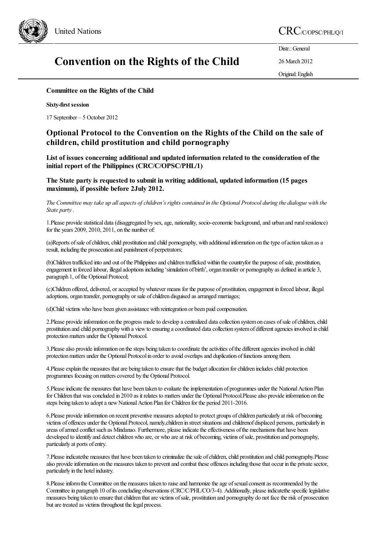

# United Nations  $\mathrm{CRC}_{\mathrm{C/OPSC/PHLO/1}}$

# Convention on the Rights of the Child

Distr.: General 26 March 2012

Original:English

### Committee on the Rights of the Child

#### Sixty-first session

17 September – 5 October 2012

## Optional Protocol to the Convention on the Rights of the Child on the sale of children, child prostitution and child pornography

List of issues concerning additional and updated information related to the consideration of the initial report of the Philippines (CRC/C/OPSC/PHL/1)

The State party is requested to submit in writing additional, updated information (15 pages maximum), if possible before 2July 2012.

The Committee may take up all aspects of children's rights contained in the Optional Protocol during the dialogue with the *State party.*

1. Please provide statistical data (disaggregated by sex, age, nationality, socio-economic background, and urban and rural residence) for the years 2009, 2010, 2011, on the number of:

(a)Reports of sale of children, child prostitution and child pornography, with additional information on the type of action taken as a result, including the prosecution and punishment of perpetrators;

(b)Children trafficked into and out ofthe Philippinesand children trafficked within thecountryfor the purpose ofsale, prostitution, engagement in forced labour, illegaladoptions including 'simulation of birth', organ transfer or pornography as defined in article 3, paragraph 1, of the Optional Protocol;

(c)Children offered, delivered, oraccepted bywhatever means for the purpose of prostitution,engagement in forced labour, illegal adoptions, organ transfer, pornography or sale of children disguised as arranged marriages;

(d)Child victims who have been given assistance with reintegration or been paid compensation.

2. Please provide information on the progress made to develop a centralized data collection system on cases of sale of children, child prostitution and child pornographywith a viewto ensuring acoordinated datacollection systemof differentagencies involved in child protection matters under the Optional Protocol.

3. Please also provide information on the steps being taken to coordinate the activities of the different agencies involved in child protection matters under the Optional Protocol in order to avoid overlaps and duplication of functions among them.

4. Please explain the measures that are being taken to ensure that the budget allocation for children includes child protection programmes focusing on matters covered by the Optional Protocol.

5. Please indicate the measures that have been taken to evaluate the implementation of programmes under the National Action Plan for Children that was concluded in 2010 as it relates to matters under the Optional Protocol.Please also provide information on the steps being taken to adopt a new National Action Plan for Children for the period 2011-2016.

6. Please provide information on recent preventive measures adopted to protect groups of children particularly at risk of becoming victims of offences under the Optional Protocol, namely, children in street situations and childrenof displaced persons, particularly in areas of armed conflict such as Mindanao. Furthermore, please indicate the effectiveness of the mechanisms that have been developed to identify and detect children who are, or who are at risk of becoming, victims of sale, prostitution and pornography, particularly at ports ofentry.

7. Please indicate the measures that have been taken to criminalize the sale of children, child prostitution and child pornography. Please also provide information on the measures taken to prevent and combat these offences including those that occur in the private sector, particularly in the hotel industry.

8. Please inform the Committee on the measures taken to raise and harmonize the age of sexual consent as recommended by the Committee in paragraph 10 of its concluding observations (CRC/C/PHL/CO/3-4). Additionally, please indicatethe specific legislative measures being taken to ensure that children that are victims of sale, prostitution and pornography do not face the risk of prosecution but are treated as victims throughout the legal process.